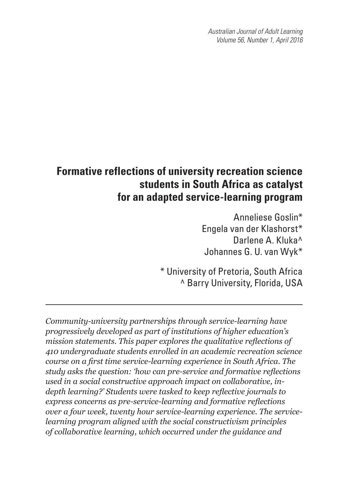*Australian Journal of Adult Learning Volume 56, Number 1, April 2016*

# **Formative reflections of university recreation science students in South Africa as catalyst for an adapted service-learning program**

Anneliese Goslin\* Engela van der Klashorst\* Darlene A. Kluka^ Johannes G. U. van Wyk\*

 \* University of Pretoria, South Africa ^ Barry University, Florida, USA

*Community-university partnerships through service-learning have progressively developed as part of institutions of higher education's mission statements. This paper explores the qualitative reflections of 410 undergraduate students enrolled in an academic recreation science course on a first time service-learning experience in South Africa. The study asks the question: 'how can pre-service and formative reflections used in a social constructive approach impact on collaborative, indepth learning?' Students were tasked to keep reflective journals to express concerns as pre-service-learning and formative reflections over a four week, twenty hour service-learning experience. The servicelearning program aligned with the social constructivism principles of collaborative learning, which occurred under the guidance and*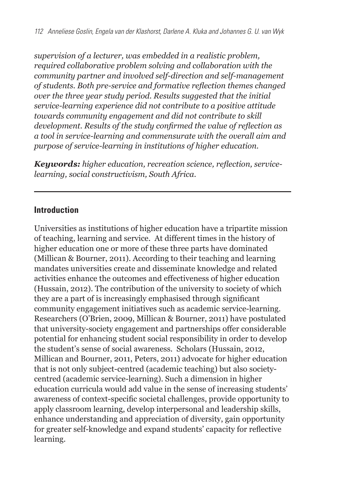*supervision of a lecturer, was embedded in a realistic problem, required collaborative problem solving and collaboration with the community partner and involved self-direction and self-management of students. Both pre-service and formative reflection themes changed over the three year study period. Results suggested that the initial service-learning experience did not contribute to a positive attitude towards community engagement and did not contribute to skill development. Results of the study confirmed the value of reflection as a tool in service-learning and commensurate with the overall aim and purpose of service-learning in institutions of higher education.* 

*Keywords: higher education, recreation science, reflection, servicelearning, social constructivism, South Africa.*

#### **Introduction**

Universities as institutions of higher education have a tripartite mission of teaching, learning and service. At different times in the history of higher education one or more of these three parts have dominated (Millican & Bourner, 2011). According to their teaching and learning mandates universities create and disseminate knowledge and related activities enhance the outcomes and effectiveness of higher education (Hussain, 2012). The contribution of the university to society of which they are a part of is increasingly emphasised through significant community engagement initiatives such as academic service-learning. Researchers (O'Brien, 2009, Millican & Bourner, 2011) have postulated that university-society engagement and partnerships offer considerable potential for enhancing student social responsibility in order to develop the student's sense of social awareness. Scholars (Hussain, 2012, Millican and Bourner, 2011, Peters, 2011) advocate for higher education that is not only subject-centred (academic teaching) but also societycentred (academic service-learning). Such a dimension in higher education curricula would add value in the sense of increasing students' awareness of context-specific societal challenges, provide opportunity to apply classroom learning, develop interpersonal and leadership skills, enhance understanding and appreciation of diversity, gain opportunity for greater self-knowledge and expand students' capacity for reflective learning.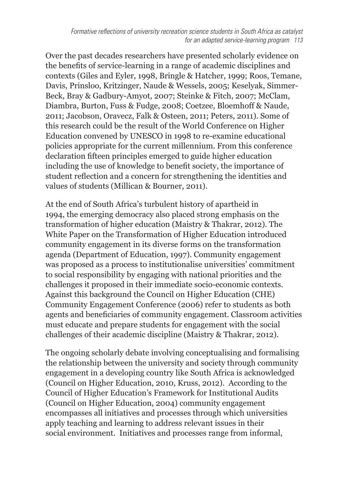Over the past decades researchers have presented scholarly evidence on the benefits of service-learning in a range of academic disciplines and contexts (Giles and Eyler, 1998, Bringle & Hatcher, 1999; Roos, Temane, Davis, Prinsloo, Kritzinger, Naude & Wessels, 2005; Keselyak, Simmer-Beck, Bray & Gadbury-Amyot, 2007; Steinke & Fitch, 2007; McClam, Diambra, Burton, Fuss & Fudge, 2008; Coetzee, Bloemhoff & Naude, 2011; Jacobson, Oravecz, Falk & Osteen, 2011; Peters, 2011). Some of this research could be the result of the World Conference on Higher Education convened by UNESCO in 1998 to re-examine educational policies appropriate for the current millennium. From this conference declaration fifteen principles emerged to guide higher education including the use of knowledge to benefit society, the importance of student reflection and a concern for strengthening the identities and values of students (Millican & Bourner, 2011).

At the end of South Africa's turbulent history of apartheid in 1994, the emerging democracy also placed strong emphasis on the transformation of higher education (Maistry & Thakrar, 2012). The White Paper on the Transformation of Higher Education introduced community engagement in its diverse forms on the transformation agenda (Department of Education, 1997). Community engagement was proposed as a process to institutionalise universities' commitment to social responsibility by engaging with national priorities and the challenges it proposed in their immediate socio-economic contexts. Against this background the Council on Higher Education (CHE) Community Engagement Conference (2006) refer to students as both agents and beneficiaries of community engagement. Classroom activities must educate and prepare students for engagement with the social challenges of their academic discipline (Maistry & Thakrar, 2012).

The ongoing scholarly debate involving conceptualising and formalising the relationship between the university and society through community engagement in a developing country like South Africa is acknowledged (Council on Higher Education, 2010, Kruss, 2012). According to the Council of Higher Education's Framework for Institutional Audits (Council on Higher Education, 2004) community engagement encompasses all initiatives and processes through which universities apply teaching and learning to address relevant issues in their social environment. Initiatives and processes range from informal,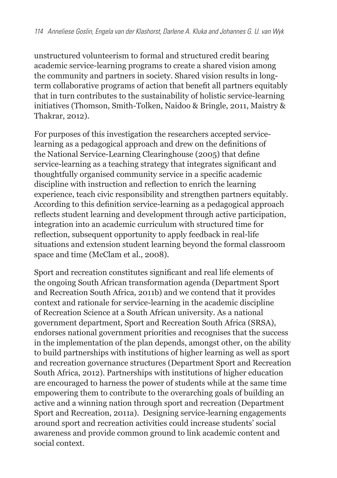unstructured volunteerism to formal and structured credit bearing academic service-learning programs to create a shared vision among the community and partners in society. Shared vision results in longterm collaborative programs of action that benefit all partners equitably that in turn contributes to the sustainability of holistic service-learning initiatives (Thomson, Smith-Tolken, Naidoo & Bringle, 2011, Maistry & Thakrar, 2012).

For purposes of this investigation the researchers accepted servicelearning as a pedagogical approach and drew on the definitions of the National Service-Learning Clearinghouse (2005) that define service-learning as a teaching strategy that integrates significant and thoughtfully organised community service in a specific academic discipline with instruction and reflection to enrich the learning experience, teach civic responsibility and strengthen partners equitably. According to this definition service-learning as a pedagogical approach reflects student learning and development through active participation, integration into an academic curriculum with structured time for reflection, subsequent opportunity to apply feedback in real-life situations and extension student learning beyond the formal classroom space and time (McClam et al., 2008).

Sport and recreation constitutes significant and real life elements of the ongoing South African transformation agenda (Department Sport and Recreation South Africa, 2011b) and we contend that it provides context and rationale for service-learning in the academic discipline of Recreation Science at a South African university. As a national government department, Sport and Recreation South Africa (SRSA), endorses national government priorities and recognises that the success in the implementation of the plan depends, amongst other, on the ability to build partnerships with institutions of higher learning as well as sport and recreation governance structures (Department Sport and Recreation South Africa, 2012). Partnerships with institutions of higher education are encouraged to harness the power of students while at the same time empowering them to contribute to the overarching goals of building an active and a winning nation through sport and recreation (Department Sport and Recreation, 2011a). Designing service-learning engagements around sport and recreation activities could increase students' social awareness and provide common ground to link academic content and social context.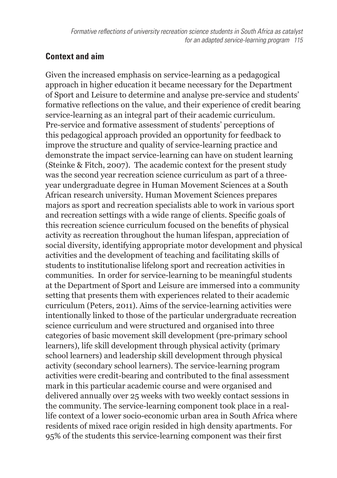#### **Context and aim**

Given the increased emphasis on service-learning as a pedagogical approach in higher education it became necessary for the Department of Sport and Leisure to determine and analyse pre-service and students' formative reflections on the value, and their experience of credit bearing service-learning as an integral part of their academic curriculum. Pre-service and formative assessment of students' perceptions of this pedagogical approach provided an opportunity for feedback to improve the structure and quality of service-learning practice and demonstrate the impact service-learning can have on student learning (Steinke & Fitch, 2007). The academic context for the present study was the second year recreation science curriculum as part of a threeyear undergraduate degree in Human Movement Sciences at a South African research university. Human Movement Sciences prepares majors as sport and recreation specialists able to work in various sport and recreation settings with a wide range of clients. Specific goals of this recreation science curriculum focused on the benefits of physical activity as recreation throughout the human lifespan, appreciation of social diversity, identifying appropriate motor development and physical activities and the development of teaching and facilitating skills of students to institutionalise lifelong sport and recreation activities in communities. In order for service-learning to be meaningful students at the Department of Sport and Leisure are immersed into a community setting that presents them with experiences related to their academic curriculum (Peters, 2011). Aims of the service-learning activities were intentionally linked to those of the particular undergraduate recreation science curriculum and were structured and organised into three categories of basic movement skill development (pre-primary school learners), life skill development through physical activity (primary school learners) and leadership skill development through physical activity (secondary school learners). The service-learning program activities were credit-bearing and contributed to the final assessment mark in this particular academic course and were organised and delivered annually over 25 weeks with two weekly contact sessions in the community. The service-learning component took place in a reallife context of a lower socio-economic urban area in South Africa where residents of mixed race origin resided in high density apartments. For 95% of the students this service-learning component was their first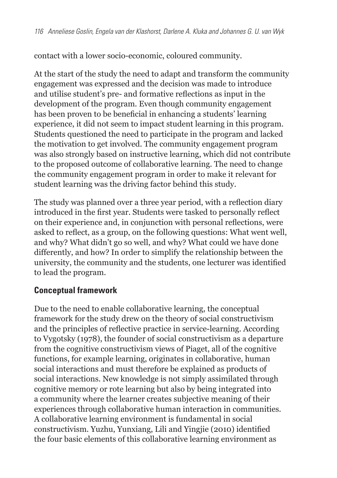contact with a lower socio-economic, coloured community.

At the start of the study the need to adapt and transform the community engagement was expressed and the decision was made to introduce and utilise student's pre- and formative reflections as input in the development of the program. Even though community engagement has been proven to be beneficial in enhancing a students' learning experience, it did not seem to impact student learning in this program. Students questioned the need to participate in the program and lacked the motivation to get involved. The community engagement program was also strongly based on instructive learning, which did not contribute to the proposed outcome of collaborative learning. The need to change the community engagement program in order to make it relevant for student learning was the driving factor behind this study.

The study was planned over a three year period, with a reflection diary introduced in the first year. Students were tasked to personally reflect on their experience and, in conjunction with personal reflections, were asked to reflect, as a group, on the following questions: What went well, and why? What didn't go so well, and why? What could we have done differently, and how? In order to simplify the relationship between the university, the community and the students, one lecturer was identified to lead the program.

#### **Conceptual framework**

Due to the need to enable collaborative learning, the conceptual framework for the study drew on the theory of social constructivism and the principles of reflective practice in service-learning. According to Vygotsky (1978), the founder of social constructivism as a departure from the cognitive constructivism views of Piaget, all of the cognitive functions, for example learning, originates in collaborative, human social interactions and must therefore be explained as products of social interactions. New knowledge is not simply assimilated through cognitive memory or rote learning but also by being integrated into a community where the learner creates subjective meaning of their experiences through collaborative human interaction in communities. A collaborative learning environment is fundamental in social constructivism. Yuzhu, Yunxiang, Lili and Yingjie (2010) identified the four basic elements of this collaborative learning environment as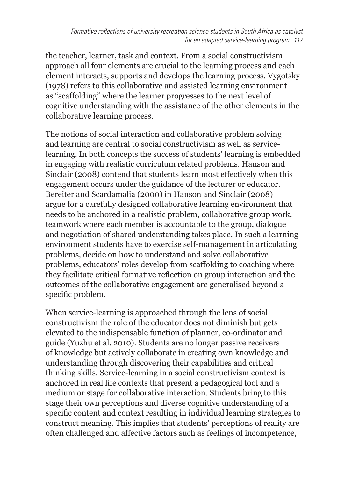the teacher, learner, task and context. From a social constructivism approach all four elements are crucial to the learning process and each element interacts, supports and develops the learning process. Vygotsky (1978) refers to this collaborative and assisted learning environment as "scaffolding" where the learner progresses to the next level of cognitive understanding with the assistance of the other elements in the collaborative learning process.

The notions of social interaction and collaborative problem solving and learning are central to social constructivism as well as servicelearning. In both concepts the success of students' learning is embedded in engaging with realistic curriculum related problems. Hanson and Sinclair (2008) contend that students learn most effectively when this engagement occurs under the guidance of the lecturer or educator. Bereiter and Scardamalia (2000) in Hanson and Sinclair (2008) argue for a carefully designed collaborative learning environment that needs to be anchored in a realistic problem, collaborative group work, teamwork where each member is accountable to the group, dialogue and negotiation of shared understanding takes place. In such a learning environment students have to exercise self-management in articulating problems, decide on how to understand and solve collaborative problems, educators' roles develop from scaffolding to coaching where they facilitate critical formative reflection on group interaction and the outcomes of the collaborative engagement are generalised beyond a specific problem.

When service-learning is approached through the lens of social constructivism the role of the educator does not diminish but gets elevated to the indispensable function of planner, co-ordinator and guide (Yuzhu et al. 2010). Students are no longer passive receivers of knowledge but actively collaborate in creating own knowledge and understanding through discovering their capabilities and critical thinking skills. Service-learning in a social constructivism context is anchored in real life contexts that present a pedagogical tool and a medium or stage for collaborative interaction. Students bring to this stage their own perceptions and diverse cognitive understanding of a specific content and context resulting in individual learning strategies to construct meaning. This implies that students' perceptions of reality are often challenged and affective factors such as feelings of incompetence,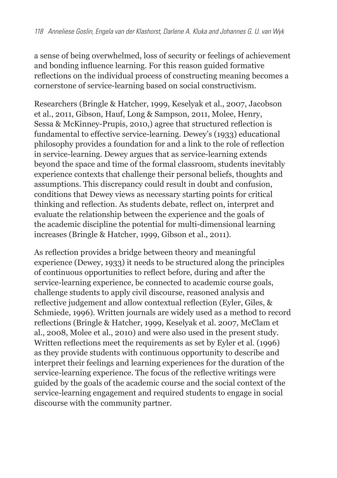a sense of being overwhelmed, loss of security or feelings of achievement and bonding influence learning. For this reason guided formative reflections on the individual process of constructing meaning becomes a cornerstone of service-learning based on social constructivism.

Researchers (Bringle & Hatcher, 1999, Keselyak et al., 2007, Jacobson et al., 2011, Gibson, Hauf, Long & Sampson, 2011, Molee, Henry, Sessa & McKinney-Prupis, 2010,) agree that structured reflection is fundamental to effective service-learning. Dewey's (1933) educational philosophy provides a foundation for and a link to the role of reflection in service-learning. Dewey argues that as service-learning extends beyond the space and time of the formal classroom, students inevitably experience contexts that challenge their personal beliefs, thoughts and assumptions. This discrepancy could result in doubt and confusion, conditions that Dewey views as necessary starting points for critical thinking and reflection. As students debate, reflect on, interpret and evaluate the relationship between the experience and the goals of the academic discipline the potential for multi-dimensional learning increases (Bringle & Hatcher, 1999, Gibson et al., 2011).

As reflection provides a bridge between theory and meaningful experience (Dewey, 1933) it needs to be structured along the principles of continuous opportunities to reflect before, during and after the service-learning experience, be connected to academic course goals, challenge students to apply civil discourse, reasoned analysis and reflective judgement and allow contextual reflection (Eyler, Giles, & Schmiede, 1996). Written journals are widely used as a method to record reflections (Bringle & Hatcher, 1999, Keselyak et al. 2007, McClam et al., 2008, Molee et al., 2010) and were also used in the present study. Written reflections meet the requirements as set by Eyler et al. (1996) as they provide students with continuous opportunity to describe and interpret their feelings and learning experiences for the duration of the service-learning experience. The focus of the reflective writings were guided by the goals of the academic course and the social context of the service-learning engagement and required students to engage in social discourse with the community partner.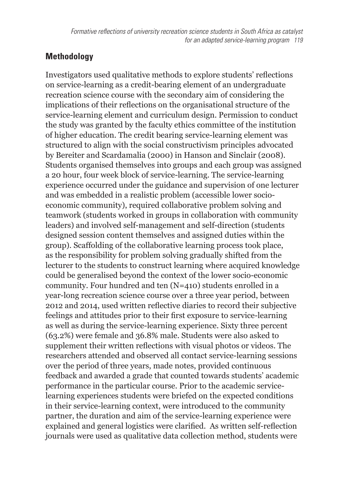# **Methodology**

Investigators used qualitative methods to explore students' reflections on service-learning as a credit-bearing element of an undergraduate recreation science course with the secondary aim of considering the implications of their reflections on the organisational structure of the service-learning element and curriculum design. Permission to conduct the study was granted by the faculty ethics committee of the institution of higher education. The credit bearing service-learning element was structured to align with the social constructivism principles advocated by Bereiter and Scardamalia (2000) in Hanson and Sinclair (2008). Students organised themselves into groups and each group was assigned a 20 hour, four week block of service-learning. The service-learning experience occurred under the guidance and supervision of one lecturer and was embedded in a realistic problem (accessible lower socioeconomic community), required collaborative problem solving and teamwork (students worked in groups in collaboration with community leaders) and involved self-management and self-direction (students designed session content themselves and assigned duties within the group). Scaffolding of the collaborative learning process took place, as the responsibility for problem solving gradually shifted from the lecturer to the students to construct learning where acquired knowledge could be generalised beyond the context of the lower socio-economic community. Four hundred and ten (N=410) students enrolled in a year-long recreation science course over a three year period, between 2012 and 2014, used written reflective diaries to record their subjective feelings and attitudes prior to their first exposure to service-learning as well as during the service-learning experience. Sixty three percent (63.2%) were female and 36.8% male. Students were also asked to supplement their written reflections with visual photos or videos. The researchers attended and observed all contact service-learning sessions over the period of three years, made notes, provided continuous feedback and awarded a grade that counted towards students' academic performance in the particular course. Prior to the academic servicelearning experiences students were briefed on the expected conditions in their service-learning context, were introduced to the community partner, the duration and aim of the service-learning experience were explained and general logistics were clarified. As written self-reflection journals were used as qualitative data collection method, students were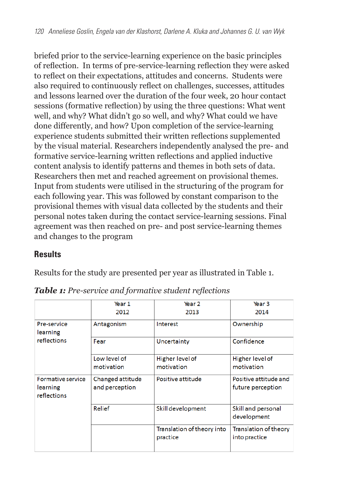briefed prior to the service-learning experience on the basic principles of reflection. In terms of pre-service-learning reflection they were asked to reflect on their expectations, attitudes and concerns. Students were also required to continuously reflect on challenges, successes, attitudes and lessons learned over the duration of the four week, 20 hour contact sessions (formative reflection) by using the three questions: What went well, and why? What didn't go so well, and why? What could we have done differently, and how? Upon completion of the service-learning experience students submitted their written reflections supplemented by the visual material. Researchers independently analysed the pre- and formative service-learning written reflections and applied inductive content analysis to identify patterns and themes in both sets of data. Researchers then met and reached agreement on provisional themes. Input from students were utilised in the structuring of the program for each following year. This was followed by constant comparison to the provisional themes with visual data collected by the students and their personal notes taken during the contact service-learning sessions. Final agreement was then reached on pre- and post service-learning themes and changes to the program

#### **Results**

Results for the study are presented per year as illustrated in Table 1.

|                                              | Year 1                             | Year <sub>2</sub>                      | Year <sub>3</sub>                             |
|----------------------------------------------|------------------------------------|----------------------------------------|-----------------------------------------------|
|                                              | 2012                               | 2013                                   | 2014                                          |
| Pre-service<br>learning                      | Antagonism                         | Interest                               | Ownership                                     |
| reflections                                  | Fear                               | Uncertainty                            | Confidence                                    |
|                                              | Low level of                       | Higher level of                        | Higher level of                               |
|                                              | motivation                         | motivation                             | motivation                                    |
| Formative service<br>learning<br>reflections | Changed attitude<br>and perception | Positive attitude                      | Positive attitude and<br>future perception    |
|                                              | Relief                             | Skill development                      | Skill and personal<br>development             |
|                                              |                                    | Translation of theory into<br>practice | <b>Translation of theory</b><br>into practice |

*Table 1: Pre-service and formative student reflections*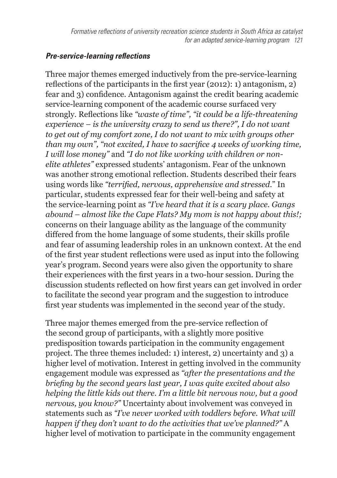#### *Pre-service-learning reflections*

Three major themes emerged inductively from the pre-service-learning reflections of the participants in the first year (2012): 1) antagonism, 2) fear and 3) confidence. Antagonism against the credit bearing academic service-learning component of the academic course surfaced very strongly. Reflections like *"waste of time", "it could be a life-threatening experience – is the university crazy to send us there?", I do not want to get out of my comfort zone, I do not want to mix with groups other than my own", "not excited, I have to sacrifice 4 weeks of working time, I will lose money"* and *"I do not like working with children or nonelite athletes"* expressed students' antagonism. Fear of the unknown was another strong emotional reflection. Students described their fears using words like *"terrified, nervous, apprehensive and stressed*." In particular, students expressed fear for their well-being and safety at the service-learning point as *"I've heard that it is a scary place. Gangs abound – almost like the Cape Flats? My mom is not happy about this!;*  concerns on their language ability as the language of the community differed from the home language of some students, their skills profile and fear of assuming leadership roles in an unknown context. At the end of the first year student reflections were used as input into the following year's program. Second years were also given the opportunity to share their experiences with the first years in a two-hour session. During the discussion students reflected on how first years can get involved in order to facilitate the second year program and the suggestion to introduce first year students was implemented in the second year of the study.

Three major themes emerged from the pre-service reflection of the second group of participants, with a slightly more positive predisposition towards participation in the community engagement project. The three themes included: 1) interest, 2) uncertainty and 3) a higher level of motivation. Interest in getting involved in the community engagement module was expressed as *"after the presentations and the briefing by the second years last year, I was quite excited about also helping the little kids out there. I'm a little bit nervous now, but a good nervous, you know?"* Uncertainty about involvement was conveyed in statements such as *"I've never worked with toddlers before. What will happen if they don't want to do the activities that we've planned?"* A higher level of motivation to participate in the community engagement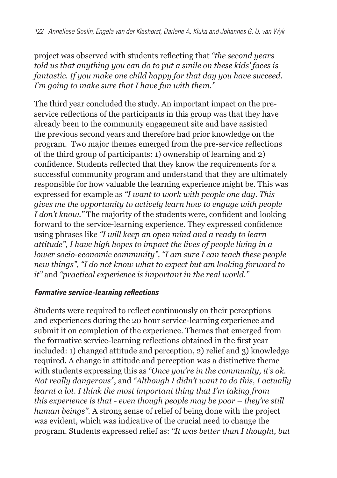project was observed with students reflecting that *"the second years told us that anything you can do to put a smile on these kids' faces is fantastic. If you make one child happy for that day you have succeed. I'm going to make sure that I have fun with them."*

The third year concluded the study. An important impact on the preservice reflections of the participants in this group was that they have already been to the community engagement site and have assisted the previous second years and therefore had prior knowledge on the program. Two major themes emerged from the pre-service reflections of the third group of participants: 1) ownership of learning and 2) confidence. Students reflected that they know the requirements for a successful community program and understand that they are ultimately responsible for how valuable the learning experience might be. This was expressed for example as *"I want to work with people one day. This gives me the opportunity to actively learn how to engage with people I don't know."* The majority of the students were, confident and looking forward to the service-learning experience. They expressed confidence using phrases like *"I will keep an open mind and a ready to learn attitude", I have high hopes to impact the lives of people living in a lower socio-economic community", "I am sure I can teach these people new things", "I do not know what to expect but am looking forward to it"* and *"practical experience is important in the real world."*

#### *Formative service-learning reflections*

Students were required to reflect continuously on their perceptions and experiences during the 20 hour service-learning experience and submit it on completion of the experience. Themes that emerged from the formative service-learning reflections obtained in the first year included: 1) changed attitude and perception, 2) relief and 3) knowledge required. A change in attitude and perception was a distinctive theme with students expressing this as *"Once you're in the community, it's ok. Not really dangerous"*, and *"Although I didn't want to do this, I actually learnt a lot. I think the most important thing that I'm taking from this experience is that - even though people may be poor – they're still human beings".* A strong sense of relief of being done with the project was evident, which was indicative of the crucial need to change the program. Students expressed relief as: *"It was better than I thought, but*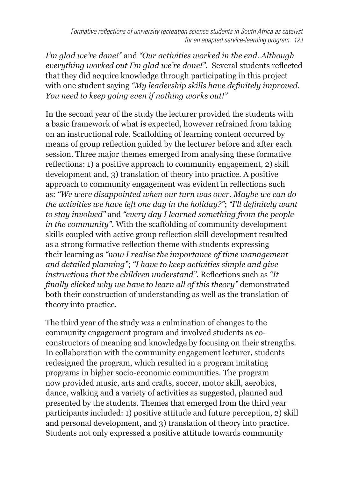*I'm glad we're done!"* and *"Our activities worked in the end. Although everything worked out I'm glad we're done!".* Several students reflected that they did acquire knowledge through participating in this project with one student saying *"My leadership skills have definitely improved. You need to keep going even if nothing works out!"*

In the second year of the study the lecturer provided the students with a basic framework of what is expected, however refrained from taking on an instructional role. Scaffolding of learning content occurred by means of group reflection guided by the lecturer before and after each session. Three major themes emerged from analysing these formative reflections: 1) a positive approach to community engagement, 2) skill development and, 3) translation of theory into practice. A positive approach to community engagement was evident in reflections such as: *"We were disappointed when our turn was over. Maybe we can do the activities we have left one day in the holiday?"*; *"I'll definitely want to stay involved"* and *"every day I learned something from the people in the community".* With the scaffolding of community development skills coupled with active group reflection skill development resulted as a strong formative reflection theme with students expressing their learning as *"now I realise the importance of time management and detailed planning"*; *"I have to keep activities simple and give instructions that the children understand".* Reflections such as *"It finally clicked why we have to learn all of this theory"* demonstrated both their construction of understanding as well as the translation of theory into practice.

The third year of the study was a culmination of changes to the community engagement program and involved students as coconstructors of meaning and knowledge by focusing on their strengths. In collaboration with the community engagement lecturer, students redesigned the program, which resulted in a program imitating programs in higher socio-economic communities. The program now provided music, arts and crafts, soccer, motor skill, aerobics, dance, walking and a variety of activities as suggested, planned and presented by the students. Themes that emerged from the third year participants included: 1) positive attitude and future perception, 2) skill and personal development, and 3) translation of theory into practice. Students not only expressed a positive attitude towards community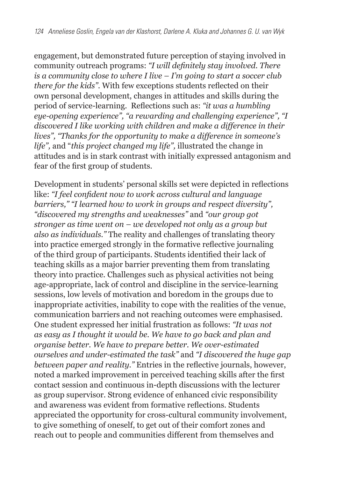engagement, but demonstrated future perception of staying involved in community outreach programs: *"I will definitely stay involved. There is a community close to where I live – I'm going to start a soccer club there for the kids".* With few exceptions students reflected on their own personal development, changes in attitudes and skills during the period of service-learning. Reflections such as: *"it was a humbling eye-opening experience", "a rewarding and challenging experience", "I discovered I like working with children and make a difference in their lives", "Thanks for the opportunity to make a difference in someone's life",* and "*this project changed my life",* illustrated the change in attitudes and is in stark contrast with initially expressed antagonism and fear of the first group of students.

Development in students' personal skills set were depicted in reflections like: *"I feel confident now to work across cultural and language barriers," "I learned how to work in groups and respect diversity", "discovered my strengths and weaknesses"* and *"our group got stronger as time went on – we developed not only as a group but also as individuals."* The reality and challenges of translating theory into practice emerged strongly in the formative reflective journaling of the third group of participants. Students identified their lack of teaching skills as a major barrier preventing them from translating theory into practice. Challenges such as physical activities not being age-appropriate, lack of control and discipline in the service-learning sessions, low levels of motivation and boredom in the groups due to inappropriate activities, inability to cope with the realities of the venue, communication barriers and not reaching outcomes were emphasised. One student expressed her initial frustration as follows: *"It was not as easy as I thought it would be. We have to go back and plan and organise better. We have to prepare better. We over-estimated ourselves and under-estimated the task"* and *"I discovered the huge gap between paper and reality."* Entries in the reflective journals, however, noted a marked improvement in perceived teaching skills after the first contact session and continuous in-depth discussions with the lecturer as group supervisor. Strong evidence of enhanced civic responsibility and awareness was evident from formative reflections. Students appreciated the opportunity for cross-cultural community involvement, to give something of oneself, to get out of their comfort zones and reach out to people and communities different from themselves and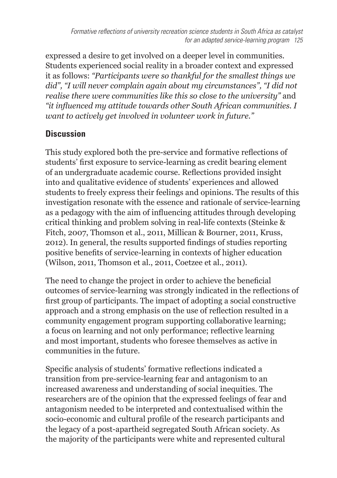expressed a desire to get involved on a deeper level in communities. Students experienced social reality in a broader context and expressed it as follows: *"Participants were so thankful for the smallest things we did", "I will never complain again about my circumstances", "I did not realise there were communities like this so close to the university"* and *"it influenced my attitude towards other South African communities. I want to actively get involved in volunteer work in future."*

# **Discussion**

This study explored both the pre-service and formative reflections of students' first exposure to service-learning as credit bearing element of an undergraduate academic course. Reflections provided insight into and qualitative evidence of students' experiences and allowed students to freely express their feelings and opinions. The results of this investigation resonate with the essence and rationale of service-learning as a pedagogy with the aim of influencing attitudes through developing critical thinking and problem solving in real-life contexts (Steinke & Fitch, 2007, Thomson et al., 2011, Millican & Bourner, 2011, Kruss, 2012). In general, the results supported findings of studies reporting positive benefits of service-learning in contexts of higher education (Wilson, 2011, Thomson et al., 2011, Coetzee et al., 2011).

The need to change the project in order to achieve the beneficial outcomes of service-learning was strongly indicated in the reflections of first group of participants. The impact of adopting a social constructive approach and a strong emphasis on the use of reflection resulted in a community engagement program supporting collaborative learning; a focus on learning and not only performance; reflective learning and most important, students who foresee themselves as active in communities in the future.

Specific analysis of students' formative reflections indicated a transition from pre-service-learning fear and antagonism to an increased awareness and understanding of social inequities. The researchers are of the opinion that the expressed feelings of fear and antagonism needed to be interpreted and contextualised within the socio-economic and cultural profile of the research participants and the legacy of a post-apartheid segregated South African society. As the majority of the participants were white and represented cultural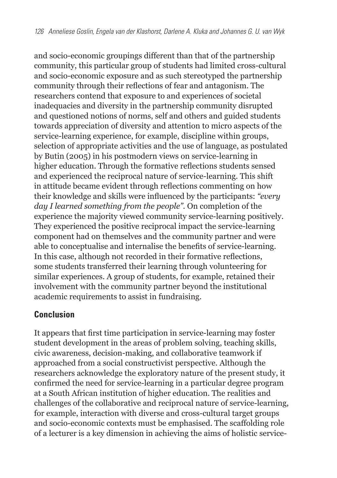and socio-economic groupings different than that of the partnership community, this particular group of students had limited cross-cultural and socio-economic exposure and as such stereotyped the partnership community through their reflections of fear and antagonism. The researchers contend that exposure to and experiences of societal inadequacies and diversity in the partnership community disrupted and questioned notions of norms, self and others and guided students towards appreciation of diversity and attention to micro aspects of the service-learning experience, for example, discipline within groups, selection of appropriate activities and the use of language, as postulated by Butin (2005) in his postmodern views on service-learning in higher education. Through the formative reflections students sensed and experienced the reciprocal nature of service-learning. This shift in attitude became evident through reflections commenting on how their knowledge and skills were influenced by the participants: *"every day I learned something from the people".* On completion of the experience the majority viewed community service-learning positively. They experienced the positive reciprocal impact the service-learning component had on themselves and the community partner and were able to conceptualise and internalise the benefits of service-learning. In this case, although not recorded in their formative reflections, some students transferred their learning through volunteering for similar experiences. A group of students, for example, retained their involvement with the community partner beyond the institutional academic requirements to assist in fundraising.

#### **Conclusion**

It appears that first time participation in service-learning may foster student development in the areas of problem solving, teaching skills, civic awareness, decision-making, and collaborative teamwork if approached from a social constructivist perspective. Although the researchers acknowledge the exploratory nature of the present study, it confirmed the need for service-learning in a particular degree program at a South African institution of higher education. The realities and challenges of the collaborative and reciprocal nature of service-learning, for example, interaction with diverse and cross-cultural target groups and socio-economic contexts must be emphasised. The scaffolding role of a lecturer is a key dimension in achieving the aims of holistic service-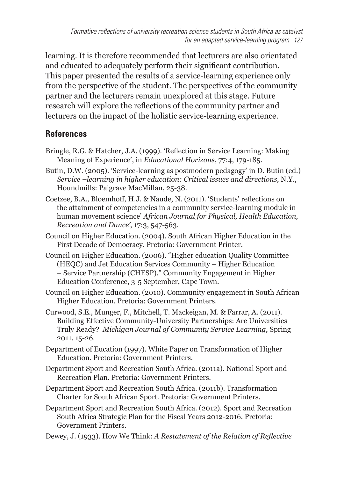learning. It is therefore recommended that lecturers are also orientated and educated to adequately perform their significant contribution. This paper presented the results of a service-learning experience only from the perspective of the student. The perspectives of the community partner and the lecturers remain unexplored at this stage. Future research will explore the reflections of the community partner and lecturers on the impact of the holistic service-learning experience.

# **References**

- Bringle, R.G. & Hatcher, J.A. (1999). 'Reflection in Service Learning: Making Meaning of Experience', in *Educational Horizons*, 77:4, 179-185.
- Butin, D.W. (2005). 'Service-learning as postmodern pedagogy' in D. Butin (ed.) *Service –learning in higher education: Critical issues and directions,* N.Y., Houndmills: Palgrave MacMillan, 25-38.
- Coetzee, B.A., Bloemhoff, H.J. & Naude, N. (2011). 'Students' reflections on the attainment of competencies in a community service-learning module in human movement science' *African Journal for Physical, Health Education, Recreation and Dance'*, 17:3, 547-563.
- Council on Higher Education. (2004). South African Higher Education in the First Decade of Democracy. Pretoria: Government Printer.
- Council on Higher Education. (2006). "Higher education Quality Committee (HEQC) and Jet Education Services Community – Higher Education – Service Partnership (CHESP)." Community Engagement in Higher Education Conference, 3-5 September, Cape Town.
- Council on Higher Education. (2010). Community engagement in South African Higher Education. Pretoria: Government Printers.
- Curwood, S.E., Munger, F., Mitchell, T. Mackeigan, M. & Farrar, A. (2011). Building Effective Community-University Partnerships: Are Universities Truly Ready? *Michigan Journal of Community Service Learning,* Spring 2011, 15-26.
- Department of Eucation (1997). White Paper on Transformation of Higher Education. Pretoria: Government Printers.
- Department Sport and Recreation South Africa. (2011a). National Sport and Recreation Plan. Pretoria: Government Printers.
- Department Sport and Recreation South Africa. (2011b). Transformation Charter for South African Sport. Pretoria: Government Printers.
- Department Sport and Recreation South Africa. (2012). Sport and Recreation South Africa Strategic Plan for the Fiscal Years 2012-2016. Pretoria: Government Printers.
- Dewey, J. (1933). How We Think: *A Restatement of the Relation of Reflective*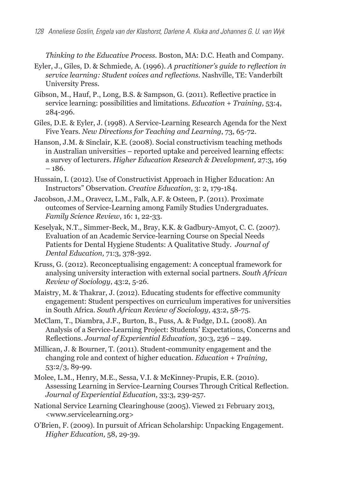*Thinking to the Educative Process.* Boston, MA: D.C. Heath and Company.

- Eyler, J., Giles, D. & Schmiede, A. (1996). *A practitioner's guide to reflection in service learning: Student voices and reflections*. Nashville, TE: Vanderbilt University Press.
- Gibson, M., Hauf, P., Long, B.S. & Sampson, G. (2011). Reflective practice in service learning: possibilities and limitations. *Education + Training,* 53:4, 284-296.
- Giles, D.E. & Eyler, J. (1998). A Service-Learning Research Agenda for the Next Five Years. *New Directions for Teaching and Learning*, 73, 65-72.
- Hanson, J.M. & Sinclair, K.E. (2008). Social constructivism teaching methods in Australian universities – reported uptake and perceived learning effects: a survey of lecturers. *Higher Education Research & Development,* 27:3, 169 – 186.
- Hussain, I. (2012). Use of Constructivist Approach in Higher Education: An Instructors" Observation. *Creative Education*, 3: 2, 179-184.
- Jacobson, J.M., Oravecz, L.M., Falk, A.F. & Osteen, P. (2011). Proximate outcomes of Service-Learning among Family Studies Undergraduates. *Family Science Review*, 16: 1, 22-33.
- Keselyak, N.T., Simmer-Beck, M., Bray, K.K. & Gadbury-Amyot, C. C. (2007). Evaluation of an Academic Service-learning Course on Special Needs Patients for Dental Hygiene Students: A Qualitative Study. *Journal of Dental Education,* 71:3, 378-392.
- Kruss, G. (2012). Reconceptualising engagement: A conceptual framework for analysing university interaction with external social partners. *South African Review of Sociology*, 43:2, 5-26.
- Maistry, M. & Thakrar, J. (2012). Educating students for effective community engagement: Student perspectives on curriculum imperatives for universities in South Africa. *South African Review of Sociology,* 43:2, 58-75.
- McClam, T., Diambra, J.F., Burton, B., Fuss, A. & Fudge, D.L. (2008). An Analysis of a Service-Learning Project: Students' Expectations, Concerns and Reflections. *Journal of Experiential Education,* 30:3, 236 – 249.
- Millican, J. & Bourner, T. (2011). Student-community engagement and the changing role and context of higher education. *Education + Training,* 53:2/3, 89-99.
- Molee, L.M., Henry, M.E., Sessa, V.I. & McKinney-Prupis, E.R. (2010). Assessing Learning in Service-Learning Courses Through Critical Reflection. *Journal of Experiential Education,* 33:3, 239-257.
- National Service Learning Clearinghouse (2005). Viewed 21 February 2013, [<www.servicelearning.org>](http://www.servicelearning.org)
- O'Brien, F. (2009). In pursuit of African Scholarship: Unpacking Engagement. *Higher Education,* 58, 29-39.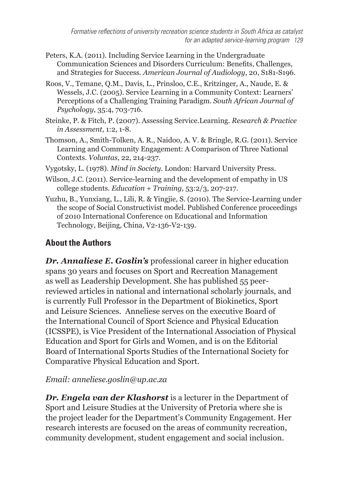- Peters, K.A. (2011). Including Service Learning in the Undergraduate Communication Sciences and Disorders Curriculum: Benefits, Challenges, and Strategies for Success. *American Journal of Audiology*, 20, S181-S196.
- Roos, V., Temane, Q.M., Davis, L., Prinsloo, C.E., Kritzinger, A., Naude, E. & Wessels, J.C. (2005). Service Learning in a Community Context: Learners' Perceptions of a Challenging Training Paradigm. *South African Journal of Psychology*, 35:4, 703-716.
- Steinke, P. & Fitch, P. (2007). Assessing Service.Learning. *Research & Practice in Assessment,* 1:2, 1-8.
- Thomson, A., Smith-Tolken, A. R., Naidoo, A. V. & Bringle, R.G. (2011). Service Learning and Community Engagement: A Comparison of Three National Contexts. *Voluntas*, 22, 214-237.
- Vygotsky, L. (1978). *Mind in Society*. London: Harvard University Press.
- Wilson, J.C. (2011). Service-learning and the development of empathy in US college students. *Education + Training,* 53:2/3, 207-217.
- Yuzhu, B., Yunxiang, L., Lili, R. & Yingjie, S. (2010). The Service-Learning under the scope of Social Constructivist model. Published Conference proceedings of 2010 International Conference on Educational and Information Technology, Beijing, China, V2-136-V2-139.

# **About the Authors**

*Dr. Annaliese E. Goslin's* professional career in higher education spans 30 years and focuses on Sport and Recreation Management as well as Leadership Development. She has published 55 peerreviewed articles in national and international scholarly journals, and is currently Full Professor in the Department of Biokinetics, Sport and Leisure Sciences. Anneliese serves on the executive Board of the International Council of Sport Science and Physical Education (ICSSPE), is Vice President of the International Association of Physical Education and Sport for Girls and Women, and is on the Editorial Board of International Sports Studies of the International Society for Comparative Physical Education and Sport.

# *Email: anneliese.goslin@up.ac.za*

*Dr. Engela van der Klashorst* is a lecturer in the Department of Sport and Leisure Studies at the University of Pretoria where she is the project leader for the Department's Community Engagement. Her research interests are focused on the areas of community recreation, community development, student engagement and social inclusion.